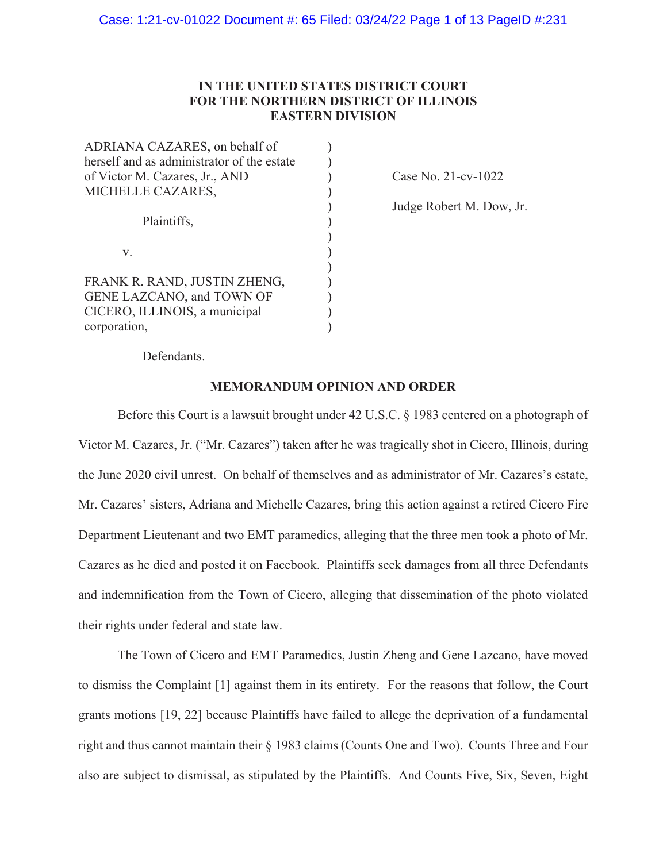# **IN THE UNITED STATES DISTRICT COURT FOR THE NORTHERN DISTRICT OF ILLINOIS EASTERN DIVISION**

| ADRIANA CAZARES, on behalf of              |  |
|--------------------------------------------|--|
| herself and as administrator of the estate |  |
| of Victor M. Cazares, Jr., AND             |  |
| MICHELLE CAZARES,                          |  |
|                                            |  |
| Plaintiffs,<br>V.                          |  |
|                                            |  |
|                                            |  |
|                                            |  |
| FRANK R. RAND, JUSTIN ZHENG,               |  |
| GENE LAZCANO, and TOWN OF                  |  |
| CICERO, ILLINOIS, a municipal              |  |
| corporation,                               |  |

Case No. 21-cv-1022

Judge Robert M. Dow, Jr.

Defendants.

## **MEMORANDUM OPINION AND ORDER**

Before this Court is a lawsuit brought under 42 U.S.C. § 1983 centered on a photograph of Victor M. Cazares, Jr. ("Mr. Cazares") taken after he was tragically shot in Cicero, Illinois, during the June 2020 civil unrest. On behalf of themselves and as administrator of Mr. Cazares's estate, Mr. Cazares' sisters, Adriana and Michelle Cazares, bring this action against a retired Cicero Fire Department Lieutenant and two EMT paramedics, alleging that the three men took a photo of Mr. Cazares as he died and posted it on Facebook. Plaintiffs seek damages from all three Defendants and indemnification from the Town of Cicero, alleging that dissemination of the photo violated their rights under federal and state law.

The Town of Cicero and EMT Paramedics, Justin Zheng and Gene Lazcano, have moved to dismiss the Complaint [1] against them in its entirety. For the reasons that follow, the Court grants motions [19, 22] because Plaintiffs have failed to allege the deprivation of a fundamental right and thus cannot maintain their § 1983 claims (Counts One and Two). Counts Three and Four also are subject to dismissal, as stipulated by the Plaintiffs. And Counts Five, Six, Seven, Eight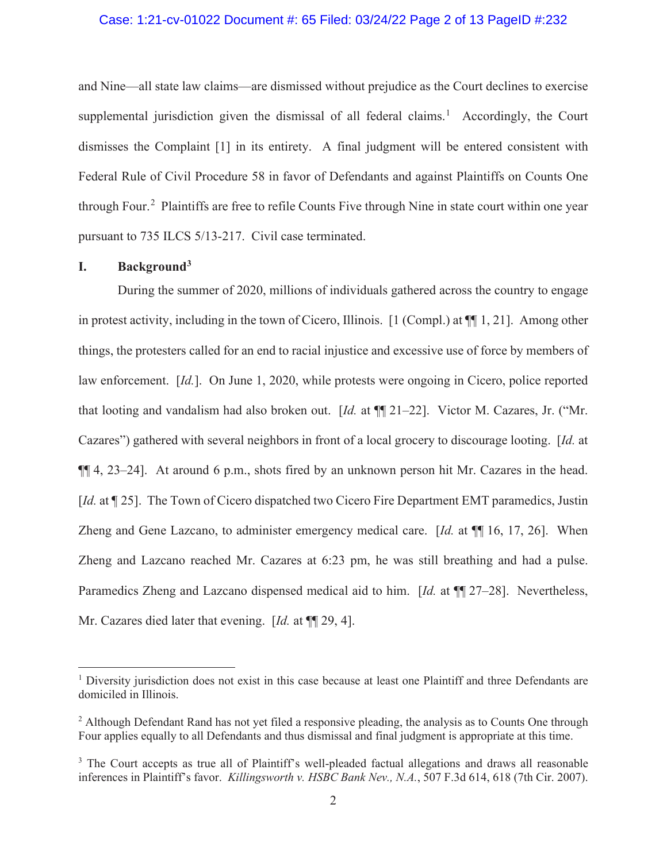### Case: 1:21-cv-01022 Document #: 65 Filed: 03/24/22 Page 2 of 13 PageID #:232

and Nine—all state law claims—are dismissed without prejudice as the Court declines to exercise supplemental jurisdiction given the dismissal of all federal claims.<sup>1</sup> Accordingly, the Court dismisses the Complaint [1] in its entirety. A final judgment will be entered consistent with Federal Rule of Civil Procedure 58 in favor of Defendants and against Plaintiffs on Counts One through Four.<sup>2</sup> Plaintiffs are free to refile Counts Five through Nine in state court within one year pursuant to 735 ILCS 5/13-217. Civil case terminated.

# **I. Background3**

During the summer of 2020, millions of individuals gathered across the country to engage in protest activity, including in the town of Cicero, Illinois. [1 (Compl.) at ¶¶ 1, 21]. Among other things, the protesters called for an end to racial injustice and excessive use of force by members of law enforcement. [*Id.*]. On June 1, 2020, while protests were ongoing in Cicero, police reported that looting and vandalism had also broken out. [*Id.* at ¶¶ 21–22]. Victor M. Cazares, Jr. ("Mr. Cazares") gathered with several neighbors in front of a local grocery to discourage looting. [*Id.* at ¶¶ 4, 23–24]. At around 6 p.m., shots fired by an unknown person hit Mr. Cazares in the head. [*Id.* at ¶ 25]. The Town of Cicero dispatched two Cicero Fire Department EMT paramedics, Justin Zheng and Gene Lazcano, to administer emergency medical care. [*Id.* at ¶¶ 16, 17, 26]. When Zheng and Lazcano reached Mr. Cazares at 6:23 pm, he was still breathing and had a pulse. Paramedics Zheng and Lazcano dispensed medical aid to him. [*Id.* at ¶¶ 27–28]. Nevertheless, Mr. Cazares died later that evening. [*Id.* at ¶¶ 29, 4].

<sup>&</sup>lt;sup>1</sup> Diversity jurisdiction does not exist in this case because at least one Plaintiff and three Defendants are domiciled in Illinois.

 $2$  Although Defendant Rand has not yet filed a responsive pleading, the analysis as to Counts One through Four applies equally to all Defendants and thus dismissal and final judgment is appropriate at this time.

<sup>&</sup>lt;sup>3</sup> The Court accepts as true all of Plaintiff's well-pleaded factual allegations and draws all reasonable inferences in Plaintiff's favor. *Killingsworth v. HSBC Bank Nev., N.A.*, 507 F.3d 614, 618 (7th Cir. 2007).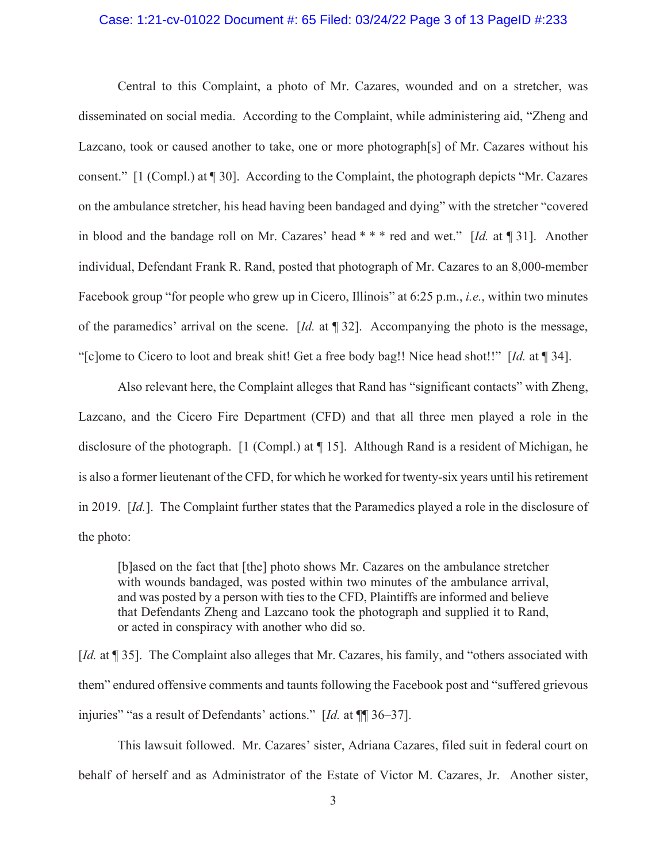#### Case: 1:21-cv-01022 Document #: 65 Filed: 03/24/22 Page 3 of 13 PageID #:233

Central to this Complaint, a photo of Mr. Cazares, wounded and on a stretcher, was disseminated on social media. According to the Complaint, while administering aid, "Zheng and Lazcano, took or caused another to take, one or more photograph[s] of Mr. Cazares without his consent." [1 (Compl.) at ¶ 30]. According to the Complaint, the photograph depicts "Mr. Cazares on the ambulance stretcher, his head having been bandaged and dying" with the stretcher "covered in blood and the bandage roll on Mr. Cazares' head \* \* \* red and wet." [*Id.* at ¶ 31]. Another individual, Defendant Frank R. Rand, posted that photograph of Mr. Cazares to an 8,000-member Facebook group "for people who grew up in Cicero, Illinois" at 6:25 p.m., *i.e.*, within two minutes of the paramedics' arrival on the scene. [*Id.* at ¶ 32]. Accompanying the photo is the message, "[c]ome to Cicero to loot and break shit! Get a free body bag!! Nice head shot!!" [*Id.* at ¶ 34].

Also relevant here, the Complaint alleges that Rand has "significant contacts" with Zheng, Lazcano, and the Cicero Fire Department (CFD) and that all three men played a role in the disclosure of the photograph. [1 (Compl.) at ¶ 15]. Although Rand is a resident of Michigan, he is also a former lieutenant of the CFD, for which he worked for twenty-six years until his retirement in 2019. [*Id.*]. The Complaint further states that the Paramedics played a role in the disclosure of the photo:

[b]ased on the fact that [the] photo shows Mr. Cazares on the ambulance stretcher with wounds bandaged, was posted within two minutes of the ambulance arrival, and was posted by a person with ties to the CFD, Plaintiffs are informed and believe that Defendants Zheng and Lazcano took the photograph and supplied it to Rand, or acted in conspiracy with another who did so.

[*Id.* at ¶ 35]. The Complaint also alleges that Mr. Cazares, his family, and "others associated with them" endured offensive comments and taunts following the Facebook post and "suffered grievous injuries" "as a result of Defendants' actions." [*Id.* at ¶¶ 36–37].

This lawsuit followed. Mr. Cazares' sister, Adriana Cazares, filed suit in federal court on behalf of herself and as Administrator of the Estate of Victor M. Cazares, Jr. Another sister,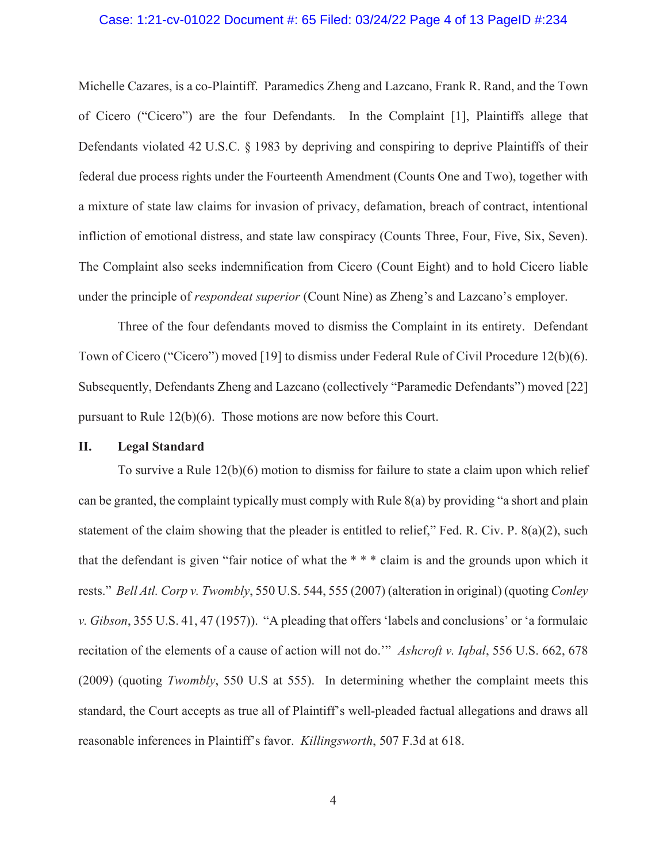#### Case: 1:21-cv-01022 Document #: 65 Filed: 03/24/22 Page 4 of 13 PageID #:234

Michelle Cazares, is a co-Plaintiff. Paramedics Zheng and Lazcano, Frank R. Rand, and the Town of Cicero ("Cicero") are the four Defendants. In the Complaint [1], Plaintiffs allege that Defendants violated 42 U.S.C. § 1983 by depriving and conspiring to deprive Plaintiffs of their federal due process rights under the Fourteenth Amendment (Counts One and Two), together with a mixture of state law claims for invasion of privacy, defamation, breach of contract, intentional infliction of emotional distress, and state law conspiracy (Counts Three, Four, Five, Six, Seven). The Complaint also seeks indemnification from Cicero (Count Eight) and to hold Cicero liable under the principle of *respondeat superior* (Count Nine) as Zheng's and Lazcano's employer.

Three of the four defendants moved to dismiss the Complaint in its entirety. Defendant Town of Cicero ("Cicero") moved [19] to dismiss under Federal Rule of Civil Procedure 12(b)(6). Subsequently, Defendants Zheng and Lazcano (collectively "Paramedic Defendants") moved [22] pursuant to Rule 12(b)(6). Those motions are now before this Court.

### **II. Legal Standard**

To survive a Rule 12(b)(6) motion to dismiss for failure to state a claim upon which relief can be granted, the complaint typically must comply with Rule 8(a) by providing "a short and plain statement of the claim showing that the pleader is entitled to relief," Fed. R. Civ. P. 8(a)(2), such that the defendant is given "fair notice of what the \* \* \* claim is and the grounds upon which it rests." *Bell Atl. Corp v. Twombly*, 550 U.S. 544, 555 (2007) (alteration in original) (quoting *Conley v. Gibson*, 355 U.S. 41, 47 (1957)). "A pleading that offers 'labels and conclusions' or 'a formulaic recitation of the elements of a cause of action will not do.'" *Ashcroft v. Iqbal*, 556 U.S. 662, 678 (2009) (quoting *Twombly*, 550 U.S at 555). In determining whether the complaint meets this standard, the Court accepts as true all of Plaintiff's well-pleaded factual allegations and draws all reasonable inferences in Plaintiff's favor. *Killingsworth*, 507 F.3d at 618.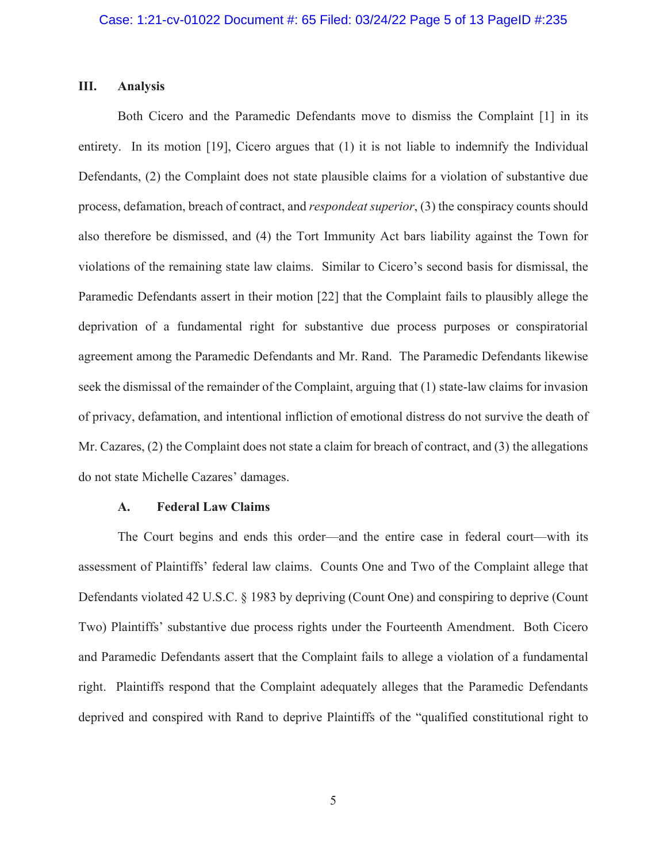### **III. Analysis**

Both Cicero and the Paramedic Defendants move to dismiss the Complaint [1] in its entirety. In its motion [19], Cicero argues that (1) it is not liable to indemnify the Individual Defendants, (2) the Complaint does not state plausible claims for a violation of substantive due process, defamation, breach of contract, and *respondeat superior*, (3) the conspiracy counts should also therefore be dismissed, and (4) the Tort Immunity Act bars liability against the Town for violations of the remaining state law claims. Similar to Cicero's second basis for dismissal, the Paramedic Defendants assert in their motion [22] that the Complaint fails to plausibly allege the deprivation of a fundamental right for substantive due process purposes or conspiratorial agreement among the Paramedic Defendants and Mr. Rand. The Paramedic Defendants likewise seek the dismissal of the remainder of the Complaint, arguing that (1) state-law claims for invasion of privacy, defamation, and intentional infliction of emotional distress do not survive the death of Mr. Cazares, (2) the Complaint does not state a claim for breach of contract, and (3) the allegations do not state Michelle Cazares' damages.

#### **A. Federal Law Claims**

The Court begins and ends this order—and the entire case in federal court—with its assessment of Plaintiffs' federal law claims. Counts One and Two of the Complaint allege that Defendants violated 42 U.S.C. § 1983 by depriving (Count One) and conspiring to deprive (Count Two) Plaintiffs' substantive due process rights under the Fourteenth Amendment. Both Cicero and Paramedic Defendants assert that the Complaint fails to allege a violation of a fundamental right. Plaintiffs respond that the Complaint adequately alleges that the Paramedic Defendants deprived and conspired with Rand to deprive Plaintiffs of the "qualified constitutional right to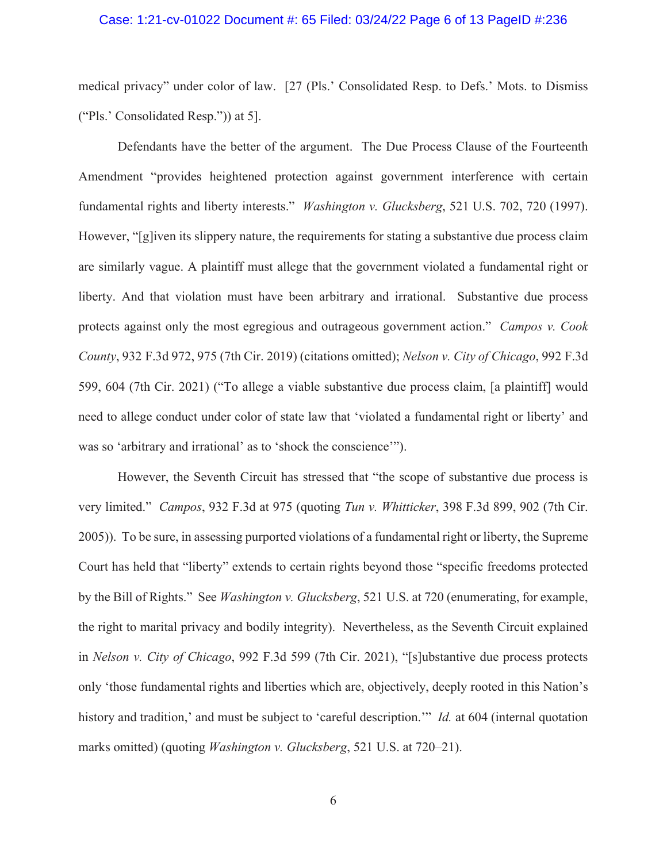#### Case: 1:21-cv-01022 Document #: 65 Filed: 03/24/22 Page 6 of 13 PageID #:236

medical privacy" under color of law. [27 (Pls.' Consolidated Resp. to Defs.' Mots. to Dismiss ("Pls.' Consolidated Resp.")) at 5].

Defendants have the better of the argument. The Due Process Clause of the Fourteenth Amendment "provides heightened protection against government interference with certain fundamental rights and liberty interests." *Washington v. Glucksberg*, 521 U.S. 702, 720 (1997). However, "[g]iven its slippery nature, the requirements for stating a substantive due process claim are similarly vague. A plaintiff must allege that the government violated a fundamental right or liberty. And that violation must have been arbitrary and irrational. Substantive due process protects against only the most egregious and outrageous government action." *Campos v. Cook County*, 932 F.3d 972, 975 (7th Cir. 2019) (citations omitted); *Nelson v. City of Chicago*, 992 F.3d 599, 604 (7th Cir. 2021) ("To allege a viable substantive due process claim, [a plaintiff] would need to allege conduct under color of state law that 'violated a fundamental right or liberty' and was so 'arbitrary and irrational' as to 'shock the conscience'").

However, the Seventh Circuit has stressed that "the scope of substantive due process is very limited." *Campos*, 932 F.3d at 975 (quoting *Tun v. Whitticker*, 398 F.3d 899, 902 (7th Cir. 2005)). To be sure, in assessing purported violations of a fundamental right or liberty, the Supreme Court has held that "liberty" extends to certain rights beyond those "specific freedoms protected by the Bill of Rights." See *Washington v. Glucksberg*, 521 U.S. at 720 (enumerating, for example, the right to marital privacy and bodily integrity). Nevertheless, as the Seventh Circuit explained in *Nelson v. City of Chicago*, 992 F.3d 599 (7th Cir. 2021), "[s]ubstantive due process protects only 'those fundamental rights and liberties which are, objectively, deeply rooted in this Nation's history and tradition,' and must be subject to 'careful description.'" *Id.* at 604 (internal quotation marks omitted) (quoting *Washington v. Glucksberg*, 521 U.S. at 720–21).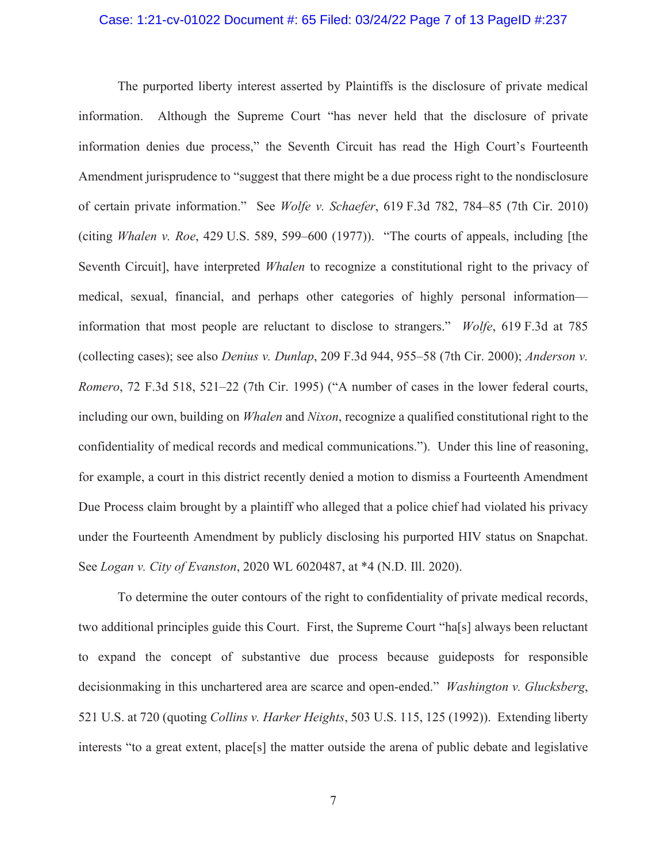#### Case: 1:21-cv-01022 Document #: 65 Filed: 03/24/22 Page 7 of 13 PageID #:237

The purported liberty interest asserted by Plaintiffs is the disclosure of private medical information. Although the Supreme Court "has never held that the disclosure of private information denies due process," the Seventh Circuit has read the High Court's Fourteenth Amendment jurisprudence to "suggest that there might be a due process right to the nondisclosure of certain private information." See *Wolfe v. Schaefer*, 619 F.3d 782, 784–85 (7th Cir. 2010) (citing *Whalen v. Roe*, 429 U.S. 589, 599–600 (1977)). "The courts of appeals, including [the Seventh Circuit], have interpreted *Whalen* to recognize a constitutional right to the privacy of medical, sexual, financial, and perhaps other categories of highly personal information information that most people are reluctant to disclose to strangers." *Wolfe*, 619 F.3d at 785 (collecting cases); see also *Denius v. Dunlap*, 209 F.3d 944, 955–58 (7th Cir. 2000); *Anderson v. Romero*, 72 F.3d 518, 521–22 (7th Cir. 1995) ("A number of cases in the lower federal courts, including our own, building on *Whalen* and *Nixon*, recognize a qualified constitutional right to the confidentiality of medical records and medical communications."). Under this line of reasoning, for example, a court in this district recently denied a motion to dismiss a Fourteenth Amendment Due Process claim brought by a plaintiff who alleged that a police chief had violated his privacy under the Fourteenth Amendment by publicly disclosing his purported HIV status on Snapchat. See *Logan v. City of Evanston*, 2020 WL 6020487, at \*4 (N.D. Ill. 2020).

To determine the outer contours of the right to confidentiality of private medical records, two additional principles guide this Court. First, the Supreme Court "ha[s] always been reluctant to expand the concept of substantive due process because guideposts for responsible decisionmaking in this unchartered area are scarce and open-ended." *Washington v. Glucksberg*, 521 U.S. at 720 (quoting *Collins v. Harker Heights*, 503 U.S. 115, 125 (1992)). Extending liberty interests "to a great extent, place[s] the matter outside the arena of public debate and legislative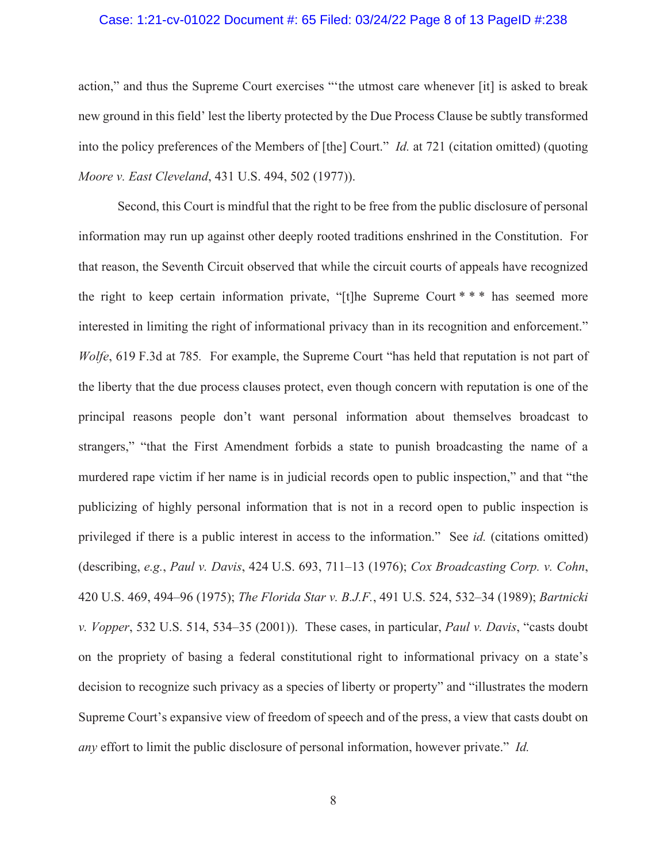#### Case: 1:21-cv-01022 Document #: 65 Filed: 03/24/22 Page 8 of 13 PageID #:238

action," and thus the Supreme Court exercises "'the utmost care whenever [it] is asked to break new ground in this field' lest the liberty protected by the Due Process Clause be subtly transformed into the policy preferences of the Members of [the] Court." *Id.* at 721 (citation omitted) (quoting *Moore v. East Cleveland*, 431 U.S. 494, 502 (1977)).

Second, this Court is mindful that the right to be free from the public disclosure of personal information may run up against other deeply rooted traditions enshrined in the Constitution. For that reason, the Seventh Circuit observed that while the circuit courts of appeals have recognized the right to keep certain information private, "[t]he Supreme Court \* \* \* has seemed more interested in limiting the right of informational privacy than in its recognition and enforcement." *Wolfe*, 619 F.3d at 785*.* For example, the Supreme Court "has held that reputation is not part of the liberty that the due process clauses protect, even though concern with reputation is one of the principal reasons people don't want personal information about themselves broadcast to strangers," "that the First Amendment forbids a state to punish broadcasting the name of a murdered rape victim if her name is in judicial records open to public inspection," and that "the publicizing of highly personal information that is not in a record open to public inspection is privileged if there is a public interest in access to the information." See *id.* (citations omitted) (describing, *e.g.*, *Paul v. Davis*, 424 U.S. 693, 711–13 (1976); *Cox Broadcasting Corp. v. Cohn*, 420 U.S. 469, 494–96 (1975); *The Florida Star v. B.J.F.*, 491 U.S. 524, 532–34 (1989); *Bartnicki v. Vopper*, 532 U.S. 514, 534–35 (2001)). These cases, in particular, *Paul v. Davis*, "casts doubt on the propriety of basing a federal constitutional right to informational privacy on a state's decision to recognize such privacy as a species of liberty or property" and "illustrates the modern Supreme Court's expansive view of freedom of speech and of the press, a view that casts doubt on *any* effort to limit the public disclosure of personal information, however private." *Id.*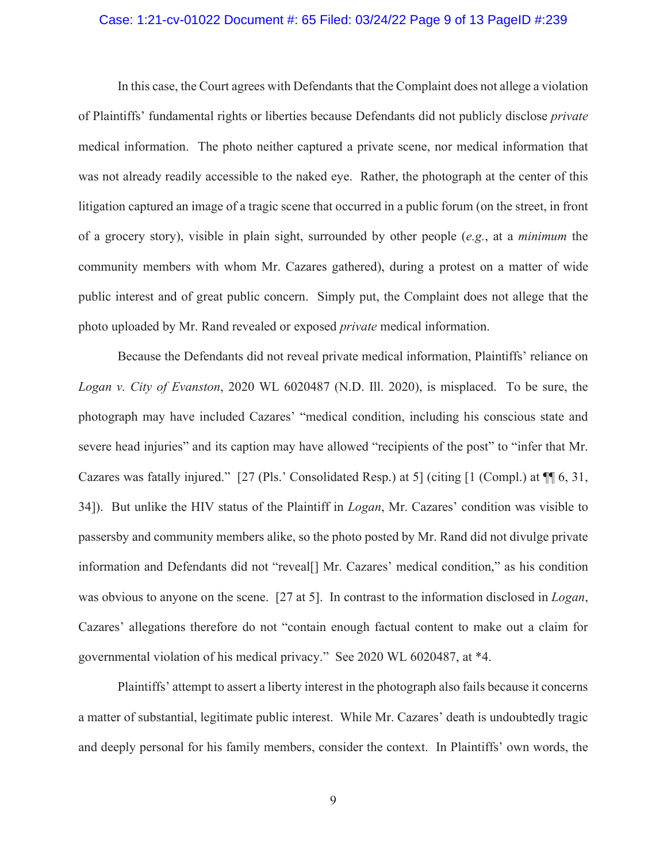#### Case: 1:21-cv-01022 Document #: 65 Filed: 03/24/22 Page 9 of 13 PageID #:239

In this case, the Court agrees with Defendants that the Complaint does not allege a violation of Plaintiffs' fundamental rights or liberties because Defendants did not publicly disclose *private* medical information. The photo neither captured a private scene, nor medical information that was not already readily accessible to the naked eye. Rather, the photograph at the center of this litigation captured an image of a tragic scene that occurred in a public forum (on the street, in front of a grocery story), visible in plain sight, surrounded by other people (*e.g.*, at a *minimum* the community members with whom Mr. Cazares gathered), during a protest on a matter of wide public interest and of great public concern. Simply put, the Complaint does not allege that the photo uploaded by Mr. Rand revealed or exposed *private* medical information.

Because the Defendants did not reveal private medical information, Plaintiffs' reliance on *Logan v. City of Evanston*, 2020 WL 6020487 (N.D. Ill. 2020), is misplaced. To be sure, the photograph may have included Cazares' "medical condition, including his conscious state and severe head injuries" and its caption may have allowed "recipients of the post" to "infer that Mr. Cazares was fatally injured." [27 (Pls.' Consolidated Resp.) at 5] (citing [1 (Compl.) at ¶¶ 6, 31, 34]). But unlike the HIV status of the Plaintiff in *Logan*, Mr. Cazares' condition was visible to passersby and community members alike, so the photo posted by Mr. Rand did not divulge private information and Defendants did not "reveal[] Mr. Cazares' medical condition," as his condition was obvious to anyone on the scene. [27 at 5]. In contrast to the information disclosed in *Logan*, Cazares' allegations therefore do not "contain enough factual content to make out a claim for governmental violation of his medical privacy." See 2020 WL 6020487, at \*4.

Plaintiffs' attempt to assert a liberty interest in the photograph also fails because it concerns a matter of substantial, legitimate public interest. While Mr. Cazares' death is undoubtedly tragic and deeply personal for his family members, consider the context. In Plaintiffs' own words, the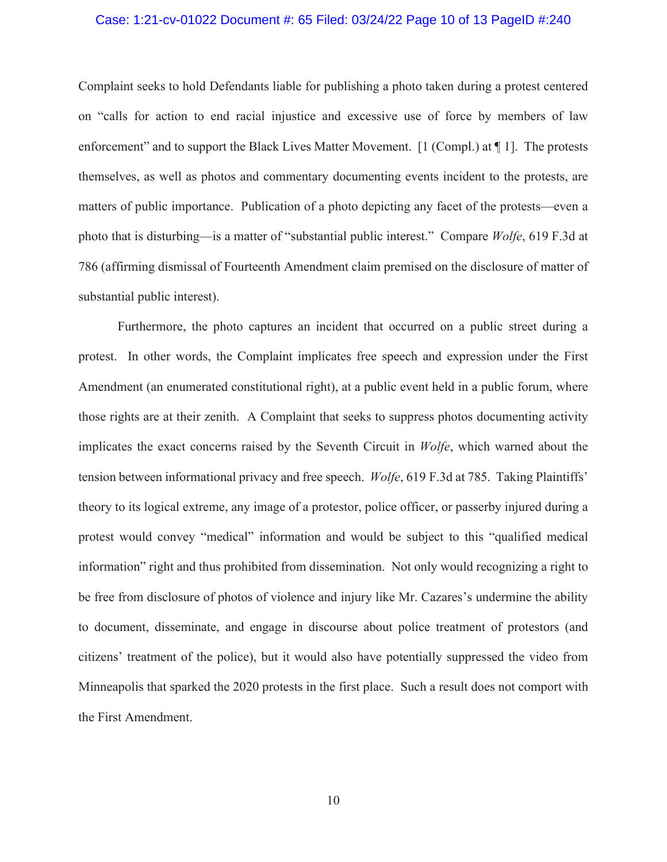#### Case: 1:21-cv-01022 Document #: 65 Filed: 03/24/22 Page 10 of 13 PageID #:240

Complaint seeks to hold Defendants liable for publishing a photo taken during a protest centered on "calls for action to end racial injustice and excessive use of force by members of law enforcement" and to support the Black Lives Matter Movement. [1 (Compl.) at ¶ 1]. The protests themselves, as well as photos and commentary documenting events incident to the protests, are matters of public importance. Publication of a photo depicting any facet of the protests—even a photo that is disturbing—is a matter of "substantial public interest." Compare *Wolfe*, 619 F.3d at 786 (affirming dismissal of Fourteenth Amendment claim premised on the disclosure of matter of substantial public interest).

Furthermore, the photo captures an incident that occurred on a public street during a protest. In other words, the Complaint implicates free speech and expression under the First Amendment (an enumerated constitutional right), at a public event held in a public forum, where those rights are at their zenith. A Complaint that seeks to suppress photos documenting activity implicates the exact concerns raised by the Seventh Circuit in *Wolfe*, which warned about the tension between informational privacy and free speech. *Wolfe*, 619 F.3d at 785. Taking Plaintiffs' theory to its logical extreme, any image of a protestor, police officer, or passerby injured during a protest would convey "medical" information and would be subject to this "qualified medical information" right and thus prohibited from dissemination. Not only would recognizing a right to be free from disclosure of photos of violence and injury like Mr. Cazares's undermine the ability to document, disseminate, and engage in discourse about police treatment of protestors (and citizens' treatment of the police), but it would also have potentially suppressed the video from Minneapolis that sparked the 2020 protests in the first place. Such a result does not comport with the First Amendment.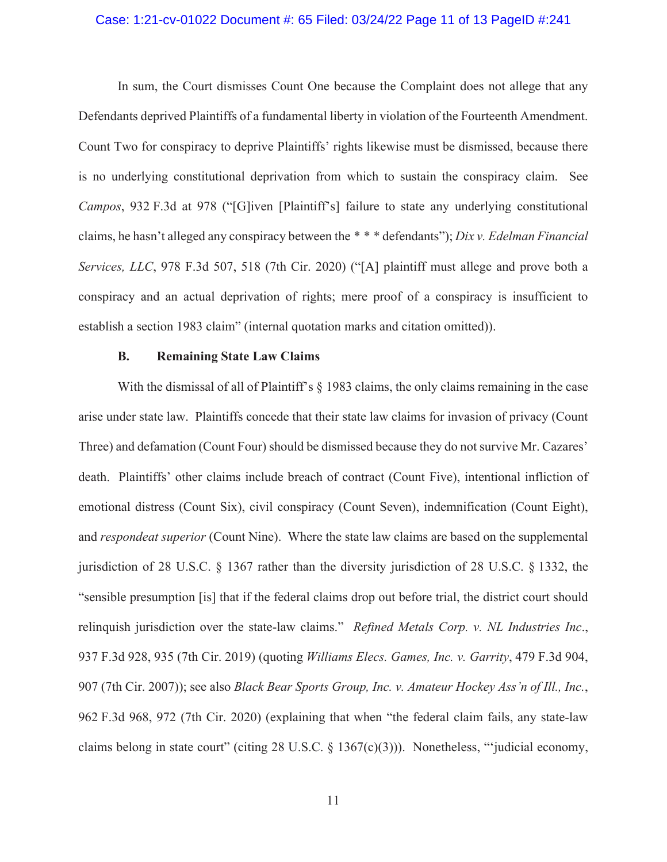#### Case: 1:21-cv-01022 Document #: 65 Filed: 03/24/22 Page 11 of 13 PageID #:241

In sum, the Court dismisses Count One because the Complaint does not allege that any Defendants deprived Plaintiffs of a fundamental liberty in violation of the Fourteenth Amendment. Count Two for conspiracy to deprive Plaintiffs' rights likewise must be dismissed, because there is no underlying constitutional deprivation from which to sustain the conspiracy claim. See *Campos*, 932 F.3d at 978 ("[G]iven [Plaintiff's] failure to state any underlying constitutional claims, he hasn't alleged any conspiracy between the \* \* \* defendants"); *Dix v. Edelman Financial Services, LLC*, 978 F.3d 507, 518 (7th Cir. 2020) ("[A] plaintiff must allege and prove both a conspiracy and an actual deprivation of rights; mere proof of a conspiracy is insufficient to establish a section 1983 claim" (internal quotation marks and citation omitted)).

#### **B. Remaining State Law Claims**

With the dismissal of all of Plaintiff's  $\S$  1983 claims, the only claims remaining in the case arise under state law. Plaintiffs concede that their state law claims for invasion of privacy (Count Three) and defamation (Count Four) should be dismissed because they do not survive Mr. Cazares' death. Plaintiffs' other claims include breach of contract (Count Five), intentional infliction of emotional distress (Count Six), civil conspiracy (Count Seven), indemnification (Count Eight), and *respondeat superior* (Count Nine). Where the state law claims are based on the supplemental jurisdiction of 28 U.S.C. § 1367 rather than the diversity jurisdiction of 28 U.S.C. § 1332, the "sensible presumption [is] that if the federal claims drop out before trial, the district court should relinquish jurisdiction over the state-law claims." *Refined Metals Corp. v. NL Industries Inc*., 937 F.3d 928, 935 (7th Cir. 2019) (quoting *Williams Elecs. Games, Inc. v. Garrity*, 479 F.3d 904, 907 (7th Cir. 2007)); see also *Black Bear Sports Group, Inc. v. Amateur Hockey Ass'n of Ill., Inc.*, 962 F.3d 968, 972 (7th Cir. 2020) (explaining that when "the federal claim fails, any state-law claims belong in state court" (citing 28 U.S.C. § 1367(c)(3))). Nonetheless, "'judicial economy,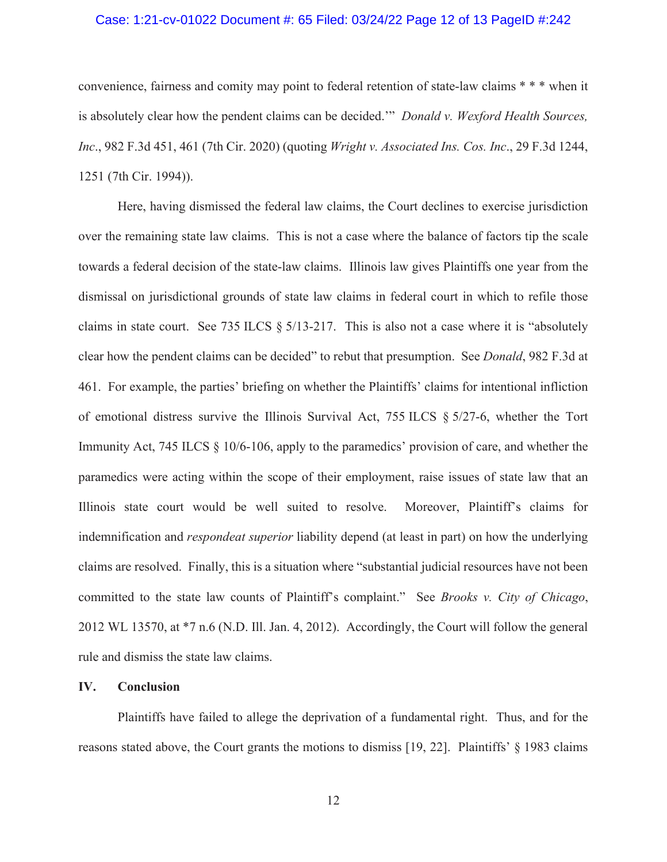### Case: 1:21-cv-01022 Document #: 65 Filed: 03/24/22 Page 12 of 13 PageID #:242

convenience, fairness and comity may point to federal retention of state-law claims \* \* \* when it is absolutely clear how the pendent claims can be decided.'" *Donald v. Wexford Health Sources, Inc*., 982 F.3d 451, 461 (7th Cir. 2020) (quoting *Wright v. Associated Ins. Cos. Inc*., 29 F.3d 1244, 1251 (7th Cir. 1994)).

Here, having dismissed the federal law claims, the Court declines to exercise jurisdiction over the remaining state law claims. This is not a case where the balance of factors tip the scale towards a federal decision of the state-law claims. Illinois law gives Plaintiffs one year from the dismissal on jurisdictional grounds of state law claims in federal court in which to refile those claims in state court. See 735 ILCS § 5/13-217. This is also not a case where it is "absolutely clear how the pendent claims can be decided" to rebut that presumption. See *Donald*, 982 F.3d at 461. For example, the parties' briefing on whether the Plaintiffs' claims for intentional infliction of emotional distress survive the Illinois Survival Act, 755 ILCS § 5/27-6, whether the Tort Immunity Act, 745 ILCS  $\S$  10/6-106, apply to the paramedics' provision of care, and whether the paramedics were acting within the scope of their employment, raise issues of state law that an Illinois state court would be well suited to resolve. Moreover, Plaintiff's claims for indemnification and *respondeat superior* liability depend (at least in part) on how the underlying claims are resolved. Finally, this is a situation where "substantial judicial resources have not been committed to the state law counts of Plaintiff's complaint." See *Brooks v. City of Chicago*, 2012 WL 13570, at \*7 n.6 (N.D. Ill. Jan. 4, 2012). Accordingly, the Court will follow the general rule and dismiss the state law claims.

#### **IV. Conclusion**

Plaintiffs have failed to allege the deprivation of a fundamental right. Thus, and for the reasons stated above, the Court grants the motions to dismiss [19, 22]. Plaintiffs' § 1983 claims